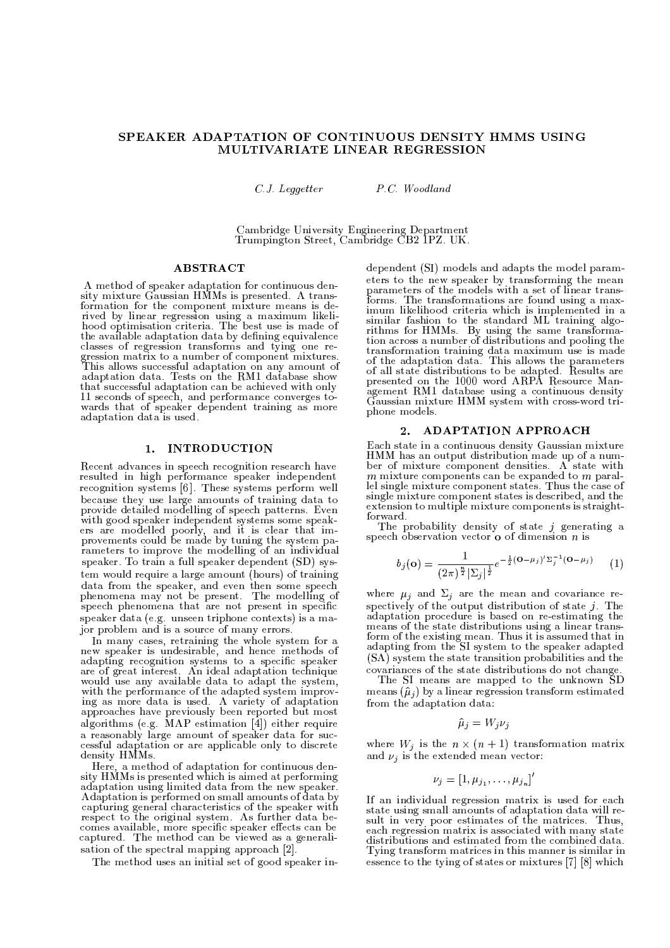# SPEAKER ADAPTATION OF CONTINUOUS DENSITY HMMS USING MULTIVARIATE LINEAR REGRESSION

 $C.J.$  Leggetter

P.C. Woodland

Cambridge University Engineering Department<br>Trumpington Street, Cambridge CB2 1PZ. UK.

## **ABSTRACT**

A method of speaker adaptation for continuous density mixture Gaussian HMMs is presented. A transformation for the component mixture means is derived by linear regression using a maximum likeli-<br>hood optimisation criteria. The best use is made of the available adaptation data by defining equivalence classes of regression transforms and tying one regression matrix to a number of component mixtures.<br>This allows successful adaptation on any amount of adaptation data. Tests on the RMI database show that successful adaptation can be achieved with only 11 seconds of speech, and performance converges towards that of speaker dependent training as more adaptation data is used.

# 1. INTRODUCTION

Recent advances in speech recognition research have resulted in high performance speaker independent recognition systems [6]. These systems perform well because they use large amounts of training data to provide detailed modelling of speech patterns. Even with good speaker independent systems some speakers are modelled poorly, and it is clear that im-<br>provements could be made by tuning the system parameters to improve the modelling of an individual speaker. To train a full speaker dependent (SD) system would require a large amount (hours) of training data from the speaker, and even then some speech phenomena may not be present. The modelling of<br>speech phenomena that are not present in specific speaker data (e.g. unseen triphone contexts) is a major problem and is a source of many errors.

In many cases, retraining the whole system for a<br>new speaker is undesirable, and hence methods of<br>adapting recognition systems to a specific speaker<br>are of great interest. An ideal adaptation technique would use any available data to adapt the system, would use any available data to adapt the system,<br>with the performance of the adapted system improv-<br>ing as more data is used. A variety of adaptation<br>approaches have previously been reported but most algorithms (e.g. MAP estimation [4]) either require a reasonably large amount of speaker data for successful adaptation or are applicable only to discrete density HMMs.

Here, a method of adaptation for continuous density HMMs is presented which is aimed at performing adaptation using limited data from the new speaker. Adaptation is performed on small amounts of data by<br>capturing general characteristics of the speaker with respect to the original system. As further data becomes available, more specific speaker effects can be captured. The method can be viewed as a generalisation of the spectral mapping approach [2].

The method uses an initial set of good speaker in-

dependent (SI) models and adapts the model parameters to the new speaker by transforming the mean parameters of the models with a set of linear transforms. The transformations are found using a maximum likelihood criteria which is implemented in a similar fashion to the standard ML training algorithms for HMMs. By using the same transforma-<br>tion across a number of distributions and pooling the transformation training data maximum use is made<br>of the adaptation data. This allows the parameters<br>of all state distributions to be adapted. Results are<br>presented on the 1000 word ARPA Resource Management RM1 database using a continuous density Gaussian mixture HMM system with cross-word triphone models.

#### **ADAPTATION APPROACH**  $2.$

Each state in a continuous density Gaussian mixture HMM has an output distribution made up of a number of mixture component densities. A state with  $m$  mixture components can be expanded to  $m$  parallel single mixture component states. Thus the case of single mixture component states is described, and the extension to multiple mixture components is straightforward.

The probability density of state *j* generating a speech observation vector  $\alpha$  of dimension *n* is

$$
b_j(\mathbf{o}) = \frac{1}{(2\pi)^{\frac{n}{2}} |\Sigma_j|^{\frac{1}{2}}} e^{-\frac{1}{2}(\mathbf{o} - \mu_j)' \Sigma_j^{-1}(\mathbf{o} - \mu_j)}
$$
 (1)

where  $\mu_j$  and  $\Sigma_j$  are the mean and covariance respectively of the output distribution of state  $j$ . The adaptation procedure is based on re-estimating the means of the state distributions using a linear trans-<br>form of the existing mean. Thus it is assumed that in adapting from the SI system to the speaker adapted (SA) system the state transition probabilities and the covariances of the state distributions do not change

The SI means are mapped to the unknown SD means  $(\hat{\mu}_i)$  by a linear regression transform estimated from the adaptation data:

$$
\hat{\mu}_i = W_i \nu_i
$$

where  $W_i$  is the  $n \times (n + 1)$  transformation matrix and  $\nu_i$  is the extended mean vector:

$$
\nu_j = [1, \mu_{j_1}, \ldots, \mu_{j_n}]'
$$

If an individual regression matrix is used for each state using small amounts of adaptation data will result in very poor estimates of the matrices. Thus, each regression matrix is associated with many state distributions and estimated from the combined data. Tying transform matrices in this manner is similar in essence to the tying of states or mixtures [7] [8] which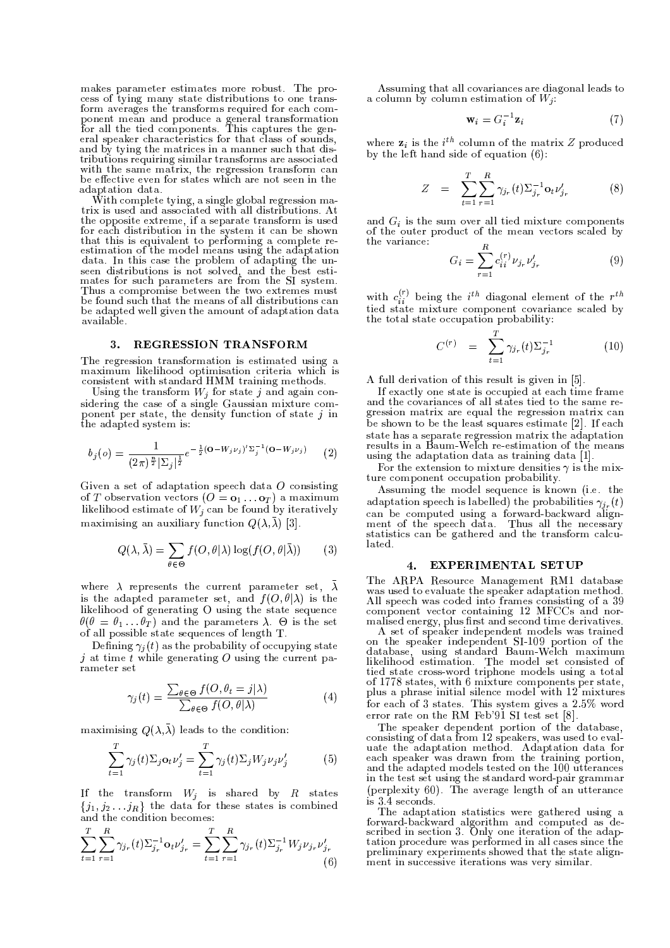makes parameter estimates more robust. The process of tying many state distributions to one transform averages the transforms required for each component mean and produce a general transformation<br>for all the tied components. This captures the general speaker characteristics for that class of sounds, and by tying the matrices in a manner such that distributions requiring similar transforms are associated with the same matrix, the regression transform can be effective even for states which are not seen in the adaptation data.

With complete tying, a single global regression matrix is used and associated with all distributions. At the opposite extreme, if a separate transform is used for each distribution in the system it can be shown that this is equivalent to performing a complete re-<br>estimation of the model means using the adaptation data. In this case the problem of adapting the unseen distributions is not solved, and the best estimates for such parameters are from the SI system. Thus a compromise between the two extremes must be found such that the means of all distributions can be adapted well given the amount of adaptation data available.

#### $3<sub>1</sub>$ **REGRESSION TRANSFORM**

The regression transformation is estimated using a maximum likelihood optimisation criteria which is consistent with standard HMM training methods.

Using the transform  $W_i$  for state j and again considering the case of a single Gaussian mixture component per state, the density function of state  $j$  in the adapted system is:

$$
b_j(o) = \frac{1}{(2\pi)^{\frac{n}{2}} |\Sigma_j|^{\frac{1}{2}}} e^{-\frac{1}{2} (\mathbf{O} - W_j \nu_j)' \Sigma_j^{-1} (\mathbf{O} - W_j \nu_j)}
$$
(2)

Given a set of adaptation speech data  $O$  consisting of T observation vectors  $(O = o_1 \dots o_T)$  a maximum likelihood estimate of  $W_j$  can be found by iteratively maximising an auxiliary function  $Q(\lambda, \lambda)$  [3].

$$
Q(\lambda, \bar{\lambda}) = \sum_{\theta \in \Theta} f(O, \theta | \lambda) \log(f(O, \theta | \bar{\lambda})) \qquad (3)
$$

where  $\lambda$  represents the current parameter set,  $\lambda$ is the adapted parameter set, and  $f(O, \theta | \lambda)$  is the likelihood of generating O using the state sequence  $\theta(\theta = \theta_1 \dots \theta_T)$  and the parameters  $\lambda$ .  $\Theta$  is the set of all possible state sequences of length T.

Defining  $\gamma_i(t)$  as the probability of occupying state j at time  $\bar{t}$  while generating O using the current parameter set

$$
\gamma_j(t) = \frac{\sum_{\theta \in \Theta} f(O, \theta_t = j | \lambda)}{\sum_{\theta \in \Theta} f(O, \theta | \lambda)}
$$
(4)

maximising  $Q(\lambda, \overline{\lambda})$  leads to the condition:

$$
\sum_{t=1}^{T} \gamma_j(t) \Sigma_j \mathbf{o}_t \nu_j' = \sum_{t=1}^{T} \gamma_j(t) \Sigma_j W_j \nu_j \nu_j' \tag{5}
$$

If the transform  $W_i$  is shared by R states  $\{j_1, j_2 \ldots j_R\}$  the data for these states is combined and the condition becomes:

$$
\sum_{t=1}^{T} \sum_{r=1}^{R} \gamma_{j_r}(t) \Sigma_{j_r}^{-1} \mathbf{o}_t \nu'_{j_r} = \sum_{t=1}^{T} \sum_{r=1}^{R} \gamma_{j_r}(t) \Sigma_{j_r}^{-1} W_j \nu_{j_r} \nu'_{j_r}
$$
(6)

Assuming that all covariances are diagonal leads to a column by column estimation of  $W_i$ :

$$
\mathbf{w}_i = G_i^{-1} \mathbf{z}_i \tag{7}
$$

where  $z_i$  is the  $i^{th}$  column of the matrix Z produced by the left hand side of equation  $(6)$ :

$$
Z = \sum_{t=1}^{T} \sum_{r=1}^{R} \gamma_{j_r}(t) \Sigma_{j_r}^{-1} \mathbf{o}_t \nu'_{j_r}
$$
 (8)

and  $G_i$  is the sum over all tied mixture components of the outer product of the mean vectors scaled by the variance:  $\mathbf{r}$ 

$$
G_i = \sum_{r=1}^{R} c_{ii}^{(r)} \nu_{j_r} \nu'_{j_r}
$$
 (9)

with  $c_{ii}^{(r)}$  being the  $i^{th}$  diagonal element of the  $r^{th}$ tied state mixture component covariance scaled by the total state occupation probability:

$$
C^{(r)} = \sum_{t=1}^{T} \gamma_{j_r}(t) \Sigma_{j_r}^{-1}
$$
 (10)

A full derivation of this result is given in [5].

If exactly one state is occupied at each time frame and the covariances of all states tied to the same regression matrix are equal the regression matrix can be shown to be the least squares estimate [2]. If each state has a separate regression matrix the adaptation results in a Baum-Welch re-estimation of the means using the adaptation data as training data [1].

For the extension to mixture densities  $\gamma$  is the mixture component occupation probability.

Assuming the model sequence is known (i.e. the adaptation speech is labelled) the probabilities  $\gamma_{i_r}(t)$ can be computed using a forward-backward align-<br>ment of the speech data. Thus all the necessary statistics can be gathered and the transform calculated.

# 4. EXPERIMENTAL SETUP

The ARPA Resource Management RM1 database The ARTA Resource Management RMT database<br>was used to evaluate the speaker adaptation method.<br>All speech was coded into frames consisting of a 39<br>component vector containing 12 MFCCs and normalised energy, plus first and second time derivatives.

A set of speaker independent models was trained A set of speaker independent filodels was trained<br>on the speaker independent SI-109 portion of the<br>database, using standard Baum-Welch maximum<br>likelihood estimation. The model set consisted of tied state cross-word triphone models using a total of 1778 states, with 6 mixture components per state, plus a phrase initial silence model with 12 mixtures for each of 3 states. This system gives a  $2.5\%$  word error rate on the RM Feb'91 SI test set [8].

The speaker dependent portion of the database,<br>consisting of data from 12 speakers, was used to evaluate the adaptation method. Adaptation data for each speaker was drawn from the training portion,<br>and the adapted models tested on the 100 utterances in the test set using the standard word-pair grammar (perplexity 60). The average length of an utterance

is 3.4 seconds.<br>The adaptation statistics were gathered using a<br>forward-backward algorithm and computed as de-<br>scribed in section 3. Only one iteration of the adaptation procedure was performed in all cases since the preliminary experiments showed that the state alignment in successive iterations was very similar.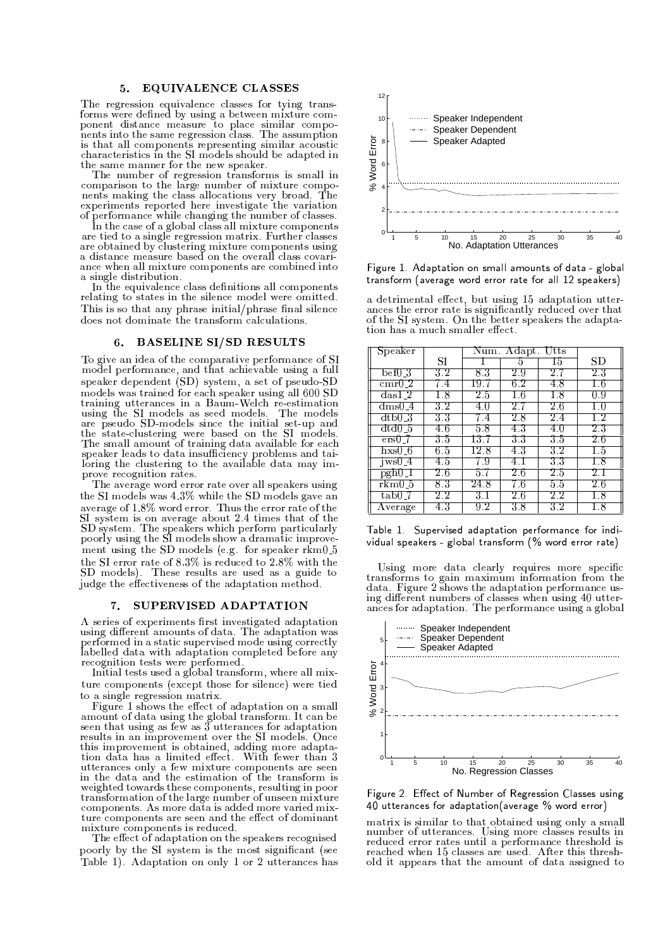#### **EQUIVALENCE CLASSES** 5.

The regression equivalence classes for tying transforms were defined by using a between mixture component distance measure to place similar components into the same regression class. The assumption is that all components representing similar acoustic characteristics in the SI models should be adapted in the same manner for the new speaker.

The number of regression transforms is small in comparison to the large number of mixture compocomparations making the class allocations very broad. The experiments reported here investigate the variation of performance while changing the number of classes.

In the case of a global class all mixture components are tied to a single regression matrix. Further classes are obtained by clustering mixture components using<br>a distance measure based on the overall class covariance when all mixture components are combined into a single distribution.

In the equivalence class definitions all components relating to states in the silence model were omitted. This is so that any phrase initial/phrase final silence does not dominate the transform calculations.

#### **BASELINE SI/SD RESULTS** 6.

To give an idea of the comparative performance of SI model performance, and that achievable using a full speaker dependent (SD) system, a set of pseudo-SD models was trained for each speaker using all 600 SD training utterances in a Baum-Welch re-estimation using the SI models as seed models. The models are pseudo SD-models since the initial set-up and<br>the state-clustering were based on the SI models.<br>The small amount of training data available for each speaker leads to data insufficiency problems and tai-<br>loring the clustering to the available data may improve recognition rates.

The average word error rate over all speakers using the SI models was 4.3% while the SD models gave an average of 1.8% word error. Thus the error rate of the SI system is on average about 2.4 times that of the<br>SI system. The speakers which perform particularly<br>poorly using the SI models show a dramatic improvement using the SD models (e.g. for speaker rkm0\_5 the SI error rate of 8.3% is reduced to 2.8% with the SD models). These results are used as a guide to judge the effectiveness of the adaptation method.

#### 7. SUPERVISED ADAPTATION

A series of experiments first investigated adaptation using different amounts of data. The adaptation was performed in a static supervised mode using correctly labelled data with adaptation completed before any recognition tests were performed.

Initial tests used a global transform, where all mixture components (except those for silence) were tied to a single regression matrix.

Figure 1 shows the effect of adaptation on a small amount of data using the global transform. It can be seen that using as few as 3 utterances for adaptation results in an improvement over the SI models. Once this improvement is obtained, adding more adaptation data has a limited effect. With fewer than 3 utterances only a few mixture components are seen in the data and the estimation of the transform is weighted towards these components, resulting in poor transformation of the large number of unseen mixture components. As more data is added more varied mixture components are seen and the effect of dominant mixture components is reduced.

The effect of adaptation on the speakers recognised poorly by the SI system is the most significant (see Table 1). Adaptation on only 1 or 2 utterances has



Figure 1. Adaptation on small amounts of data - global transform (average word error rate for all 12 speakers)

a detrimental effect, but using 15 adaptation utterances the error rate is significantly reduced over that<br>of the SI system. On the better speakers the adaptation has a much smaller effect.

| Speaker                       |         | Num. |     |     |        |
|-------------------------------|---------|------|-----|-----|--------|
|                               | SІ      |      | h   | 15  | SD     |
| bef0_3                        | 3.2     | 83   | 2.9 | 2.7 | 23     |
| cmr0.2                        | 7.4     | 19.7 | 62  | 4.8 | 16     |
| $\text{das}$ $\overline{1}$ 2 | 1.8     | 2.5  | 16  | 1.8 | 0.9    |
| dms0 4                        | 3.2     | 4.0  | 2.7 | 26  | 1.0    |
| dtb0-3                        | 33      | 7.4  | 2.8 | 2.4 | 1.2    |
| dtd0-5                        | 4.6     | 5.8  | 43  | 4.0 | $2\,3$ |
| $ers0-7$                      | 3.5     | 13.7 | 33  | 3.5 | 26     |
| hxs() 6                       | 6.5     | 12.8 | 43  | 3.2 | 1.5    |
| $iws0_4$                      | 4.5     | 79   | 4.1 | 33  | 1.8    |
| $pgh0_l$                      | 2.6     | 5.7  | 26  | 2.5 | 2.1    |
| rkm0-5                        | 83      | 24.8 | 7.6 | 5.5 | 26     |
| tab0 7                        | $2.2\,$ | 3.1  | 2.6 | 2.2 | 1.8    |
| $\operatorname{Average}$      | 43      | 9.2  | 38  | 3.2 | 1.8    |

Table 1. Supervised adaptation performance for individual speakers - global transform (% word error rate)

Using more data clearly requires more specific transforms to gain maximum information from the<br>data. Figure 2 shows the adaptation performance using different numbers of classes when using 40 utterances for adaptation. The performance using a global



Figure 2. Effect of Number of Regression Classes using 40 utterances for adaptation (average % word error)

matrix is similar to that obtained using only a small<br>number of utterances. Using more classes results in reduced error rates until a performance threshold is reached when 15 classes are used. After this threshold it appears that the amount of data assigned to